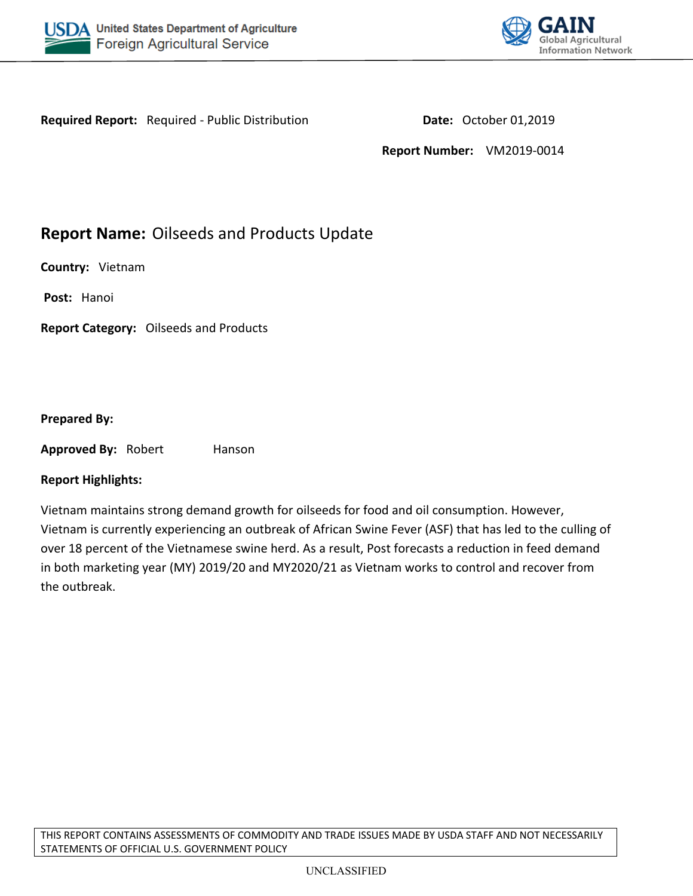



**Required Report:** Required - Public Distribution **Date:** October 01,2019

**Report Number:** VM2019-0014

# **Report Name:** Oilseeds and Products Update

**Country:** Vietnam

**Post:** Hanoi

**Report Category:** Oilseeds and Products

#### **Prepared By:**

**Approved By: Robert Hanson** 

#### **Report Highlights:**

Vietnam maintains strong demand growth for oilseeds for food and oil consumption. However, Vietnam is currently experiencing an outbreak of African Swine Fever (ASF) that has led to the culling of over 18 percent of the Vietnamese swine herd. As a result, Post forecasts a reduction in feed demand in both marketing year (MY) 2019/20 and MY2020/21 as Vietnam works to control and recover from the outbreak.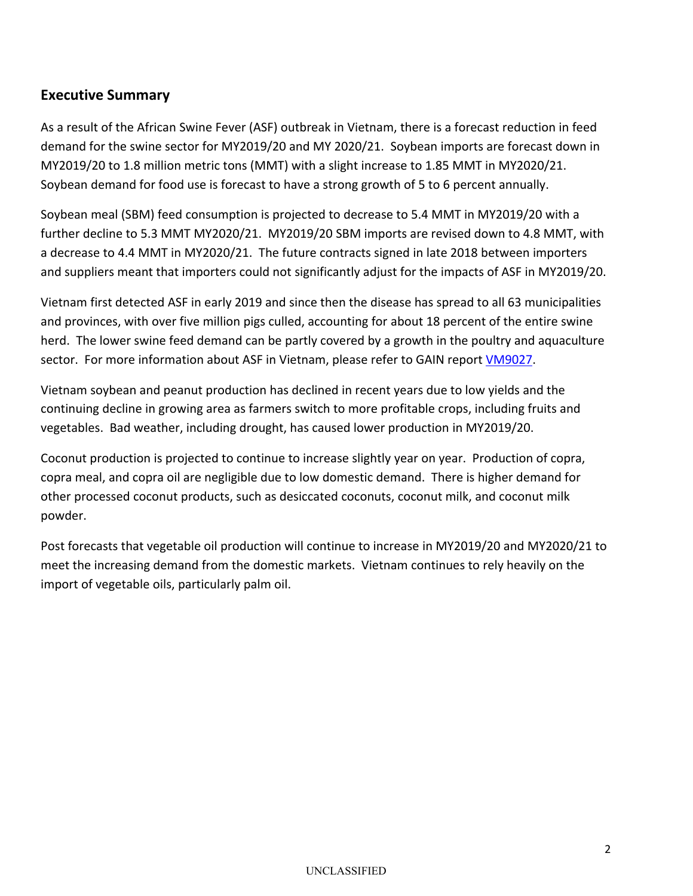# **Executive Summary**

As a result of the African Swine Fever (ASF) outbreak in Vietnam, there is a forecast reduction in feed demand for the swine sector for MY2019/20 and MY 2020/21. Soybean imports are forecast down in MY2019/20 to 1.8 million metric tons (MMT) with a slight increase to 1.85 MMT in MY2020/21. Soybean demand for food use is forecast to have a strong growth of 5 to 6 percent annually.

Soybean meal (SBM) feed consumption is projected to decrease to 5.4 MMT in MY2019/20 with a further decline to 5.3 MMT MY2020/21. MY2019/20 SBM imports are revised down to 4.8 MMT, with a decrease to 4.4 MMT in MY2020/21. The future contracts signed in late 2018 between importers and suppliers meant that importers could not significantly adjust for the impacts of ASF in MY2019/20.

Vietnam first detected ASF in early 2019 and since then the disease has spread to all 63 municipalities and provinces, with over five million pigs culled, accounting for about 18 percent of the entire swine herd. The lower swine feed demand can be partly covered by a growth in the poultry and aquaculture sector. For more information about ASF in Vietnam, please refer to GAIN report [VM9027.](https://gain.fas.usda.gov/Recent%20GAIN%20Publications/African%20Swine%20Fever%20in%20Vietnam_Hanoi_Vietnam_6-20-2019.pdf)

Vietnam soybean and peanut production has declined in recent years due to low yields and the continuing decline in growing area as farmers switch to more profitable crops, including fruits and vegetables. Bad weather, including drought, has caused lower production in MY2019/20.

Coconut production is projected to continue to increase slightly year on year. Production of copra, copra meal, and copra oil are negligible due to low domestic demand. There is higher demand for other processed coconut products, such as desiccated coconuts, coconut milk, and coconut milk powder.

Post forecasts that vegetable oil production will continue to increase in MY2019/20 and MY2020/21 to meet the increasing demand from the domestic markets. Vietnam continues to rely heavily on the import of vegetable oils, particularly palm oil.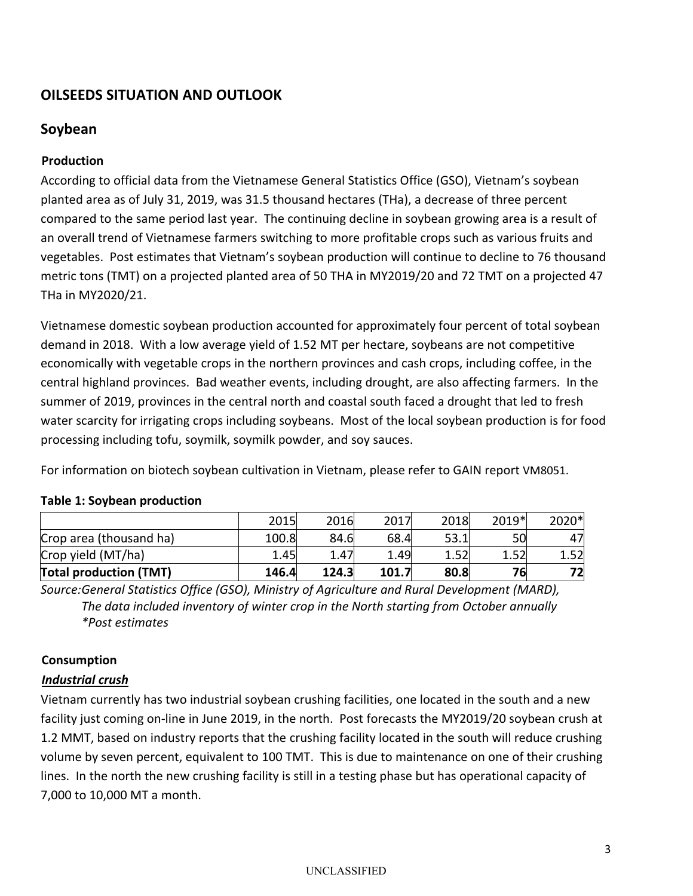# **OILSEEDS SITUATION AND OUTLOOK**

# **Soybean**

# **Production**

According to official data from the Vietnamese General Statistics Office (GSO), Vietnam's soybean planted area as of July 31, 2019, was 31.5 thousand hectares (THa), a decrease of three percent compared to the same period last year. The continuing decline in soybean growing area is a result of an overall trend of Vietnamese farmers switching to more profitable crops such as various fruits and vegetables. Post estimates that Vietnam's soybean production will continue to decline to 76 thousand metric tons (TMT) on a projected planted area of 50 THA in MY2019/20 and 72 TMT on a projected 47 THa in MY2020/21.

Vietnamese domestic soybean production accounted for approximately four percent of total soybean demand in 2018. With a low average yield of 1.52 MT per hectare, soybeans are not competitive economically with vegetable crops in the northern provinces and cash crops, including coffee, in the central highland provinces. Bad weather events, including drought, are also affecting farmers. In the summer of 2019, provinces in the central north and coastal south faced a drought that led to fresh water scarcity for irrigating crops including soybeans. Most of the local soybean production is for food processing including tofu, soymilk, soymilk powder, and soy sauces.

For information on biotech soybean cultivation in Vietnam, please refer to GAIN report [VM8051.](http://gain.fas.usda.gov/Recent%20GAIN%20Publications/Agricultural%20Biotechnology%20Annual_Hanoi_Vietnam_10-22-2018.pdf)

| <b>Total production (TMT)</b> | 146.4 | 124.3 | 101.7 | 80.8 | 76    | 72    |
|-------------------------------|-------|-------|-------|------|-------|-------|
| Crop yield (MT/ha)            | 1.45  | 1.47  | 1.49  |      |       | 1.52  |
| Crop area (thousand ha)       | 100.8 | 84.6  | 68.4  | 53.1 |       | 47    |
|                               | 2015  | 2016  | 2017  | 2018 | 2019* | 2020* |

## **Table 1: Soybean production**

*Source:General Statistics Office (GSO), Ministry of Agriculture and Rural Development (MARD), The data included inventory of winter crop in the North starting from October annually \*Post estimates*

## **Consumption**

## *Industrial crush*

Vietnam currently has two industrial soybean crushing facilities, one located in the south and a new facility just coming on-line in June 2019, in the north. Post forecasts the MY2019/20 soybean crush at 1.2 MMT, based on industry reports that the crushing facility located in the south will reduce crushing volume by seven percent, equivalent to 100 TMT. This is due to maintenance on one of their crushing lines. In the north the new crushing facility is still in a testing phase but has operational capacity of 7,000 to 10,000 MT a month.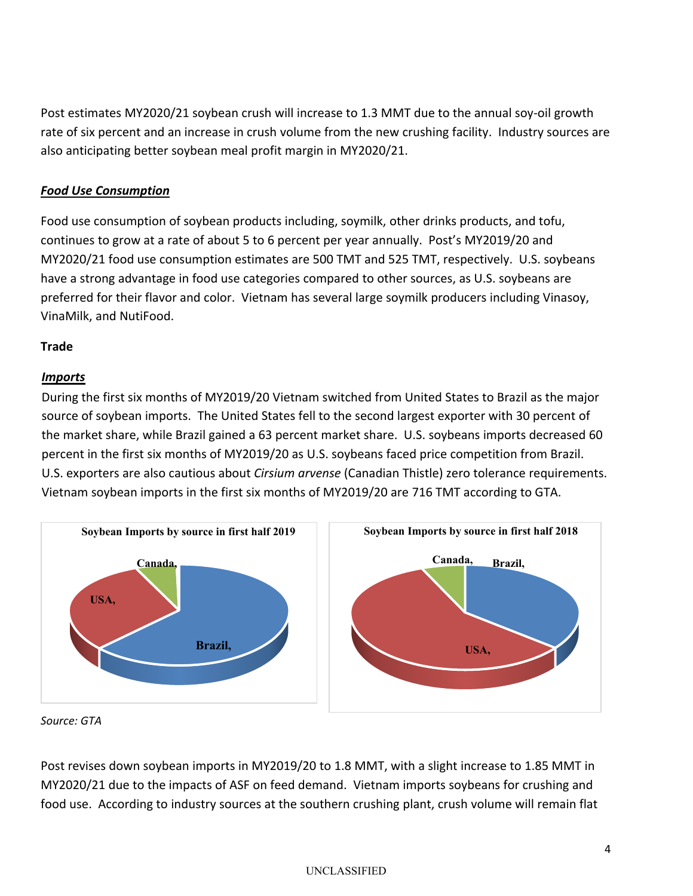Post estimates MY2020/21 soybean crush will increase to 1.3 MMT due to the annual soy-oil growth rate of six percent and an increase in crush volume from the new crushing facility. Industry sources are also anticipating better soybean meal profit margin in MY2020/21.

# *Food Use Consumption*

Food use consumption of soybean products including, soymilk, other drinks products, and tofu, continues to grow at a rate of about 5 to 6 percent per year annually. Post's MY2019/20 and MY2020/21 food use consumption estimates are 500 TMT and 525 TMT, respectively. U.S. soybeans have a strong advantage in food use categories compared to other sources, as U.S. soybeans are preferred for their flavor and color. Vietnam has several large soymilk producers including Vinasoy, VinaMilk, and NutiFood.

## **Trade**

#### *Imports*

During the first six months of MY2019/20 Vietnam switched from United States to Brazil as the major source of soybean imports. The United States fell to the second largest exporter with 30 percent of the market share, while Brazil gained a 63 percent market share. U.S. soybeans imports decreased 60 percent in the first six months of MY2019/20 as U.S. soybeans faced price competition from Brazil. U.S. exporters are also cautious about *Cirsium arvense* (Canadian Thistle) zero tolerance requirements. Vietnam soybean imports in the first six months of MY2019/20 are 716 TMT according to GTA.



*Source: GTA*

Post revises down soybean imports in MY2019/20 to 1.8 MMT, with a slight increase to 1.85 MMT in MY2020/21 due to the impacts of ASF on feed demand. Vietnam imports soybeans for crushing and food use. According to industry sources at the southern crushing plant, crush volume will remain flat

#### UNCLASSIFIED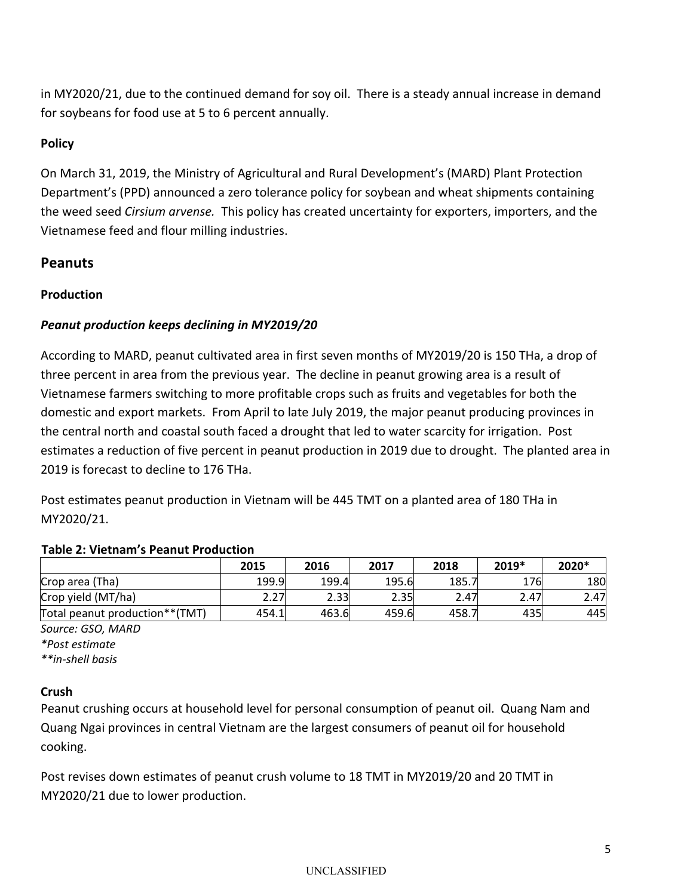in MY2020/21, due to the continued demand for soy oil. There is a steady annual increase in demand for soybeans for food use at 5 to 6 percent annually.

# **Policy**

On March 31, 2019, the Ministry of Agricultural and Rural Development's (MARD) Plant Protection Department's (PPD) announced a zero tolerance policy for soybean and wheat shipments containing the weed seed *Cirsium arvense.* This policy has created uncertainty for exporters, importers, and the Vietnamese feed and flour milling industries.

# **Peanuts**

## **Production**

# *Peanut production keeps declining in MY2019/20*

According to MARD, peanut cultivated area in first seven months of MY2019/20 is 150 THa, a drop of three percent in area from the previous year. The decline in peanut growing area is a result of Vietnamese farmers switching to more profitable crops such as fruits and vegetables for both the domestic and export markets. From April to late July 2019, the major peanut producing provinces in the central north and coastal south faced a drought that led to water scarcity for irrigation. Post estimates a reduction of five percent in peanut production in 2019 due to drought. The planted area in 2019 is forecast to decline to 176 THa.

Post estimates peanut production in Vietnam will be 445 TMT on a planted area of 180 THa in MY2020/21.

## **Table 2: Vietnam's Peanut Production**

|                                | 2015  | 2016  | 2017  | 2018  | 2019* | 2020* |
|--------------------------------|-------|-------|-------|-------|-------|-------|
| Crop area (Tha)                | 199.9 | 199.4 | 195.6 | 185.7 | 176   | 180   |
| Crop yield (MT/ha)             | 2.27  | 2.33  | 2.35  | 2.47  | 2.47  | 2.47  |
| Total peanut production**(TMT) | 454.1 | 463.6 | 459.6 | 458., | 435   | 445   |

*Source: GSO, MARD \*Post estimate \*\*in-shell basis*

## **Crush**

Peanut crushing occurs at household level for personal consumption of peanut oil. Quang Nam and Quang Ngai provinces in central Vietnam are the largest consumers of peanut oil for household cooking.

Post revises down estimates of peanut crush volume to 18 TMT in MY2019/20 and 20 TMT in MY2020/21 due to lower production.

#### UNCLASSIFIED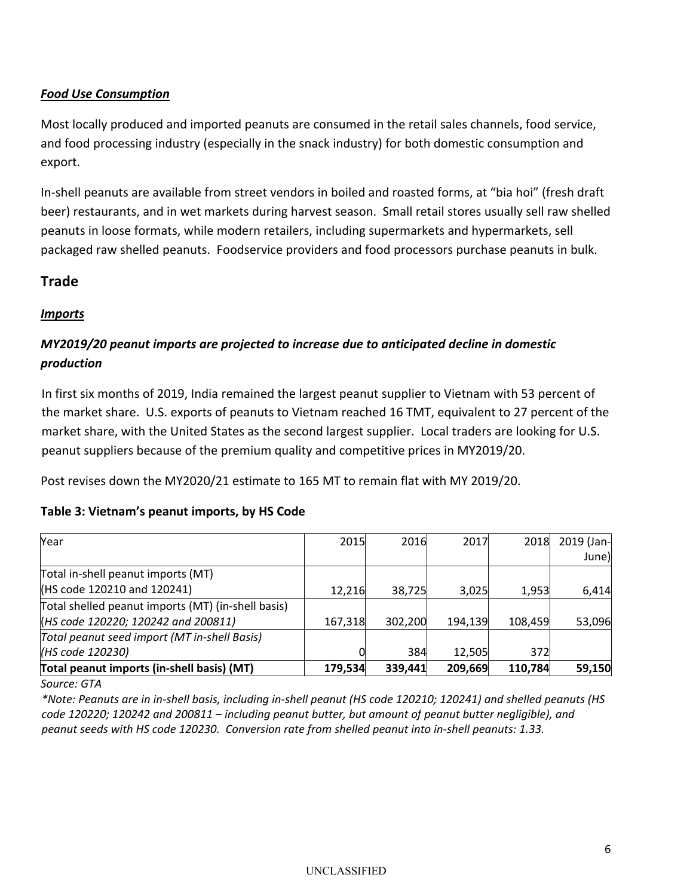# *Food Use Consumption*

Most locally produced and imported peanuts are consumed in the retail sales channels, food service, and food processing industry (especially in the snack industry) for both domestic consumption and export.

In-shell peanuts are available from street vendors in boiled and roasted forms, at "bia hoi" (fresh draft beer) restaurants, and in wet markets during harvest season. Small retail stores usually sell raw shelled peanuts in loose formats, while modern retailers, including supermarkets and hypermarkets, sell packaged raw shelled peanuts. Foodservice providers and food processors purchase peanuts in bulk.

# **Trade**

## *Imports*

# *MY2019/20 peanut imports are projected to increase due to anticipated decline in domestic production*

In first six months of 2019, India remained the largest peanut supplier to Vietnam with 53 percent of the market share. U.S. exports of peanuts to Vietnam reached 16 TMT, equivalent to 27 percent of the market share, with the United States as the second largest supplier. Local traders are looking for U.S. peanut suppliers because of the premium quality and competitive prices in MY2019/20.

Post revises down the MY2020/21 estimate to 165 MT to remain flat with MY 2019/20.

#### **Table 3: Vietnam's peanut imports, by HS Code**

| Year                                               | 2015    | 2016    | 2017    | 2018    | 2019 (Jan- |
|----------------------------------------------------|---------|---------|---------|---------|------------|
|                                                    |         |         |         |         | June)      |
| Total in-shell peanut imports (MT)                 |         |         |         |         |            |
| (HS code 120210 and 120241)                        | 12.216  | 38,725  | 3,025   | 1,953   | 6,414      |
| Total shelled peanut imports (MT) (in-shell basis) |         |         |         |         |            |
| (HS code 120220; 120242 and 200811)                | 167,318 | 302,200 | 194,139 | 108,459 | 53,096     |
| Total peanut seed import (MT in-shell Basis)       |         |         |         |         |            |
| (HS code 120230)                                   |         | 384     | 12.505  | 372     |            |
| Total peanut imports (in-shell basis) (MT)         | 179,534 | 339,441 | 209,669 | 110,784 | 59,150     |

*Source: GTA*

\*Note: Peanuts are in in-shell basis, including in-shell peanut (HS code 120210; 120241) and shelled peanuts (HS *code 120220; 120242 and 200811 – including peanut butter, but amount of peanut butter negligible), and peanut seeds with HS code 120230. Conversion rate from shelled peanut into in-shell peanuts: 1.33.*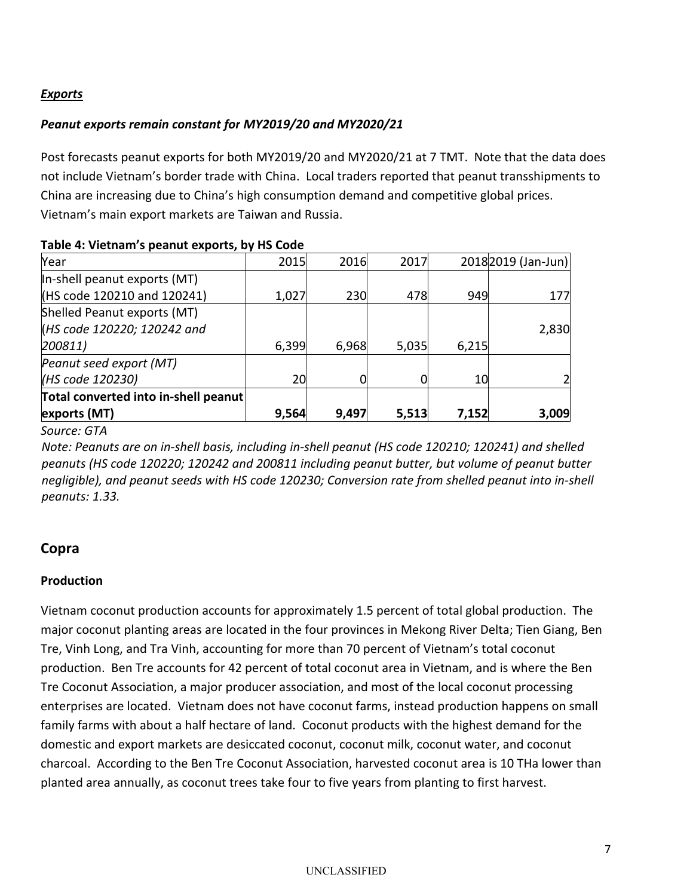## *Exports*

### *Peanut exports remain constant for MY2019/20 and MY2020/21*

Post forecasts peanut exports for both MY2019/20 and MY2020/21 at 7 TMT. Note that the data does not include Vietnam's border trade with China. Local traders reported that peanut transshipments to China are increasing due to China's high consumption demand and competitive global prices. Vietnam's main export markets are Taiwan and Russia.

| exports (MT)                         | 9,564 | 9,497 | 5,513 | 7,152           | 3,009               |
|--------------------------------------|-------|-------|-------|-----------------|---------------------|
| Total converted into in-shell peanut |       |       |       |                 |                     |
| (HS code 120230)                     | 20    |       |       | 10 <sup>1</sup> |                     |
| Peanut seed export (MT)              |       |       |       |                 |                     |
| 200811                               | 6,399 | 6,968 | 5,035 | 6,215           |                     |
| (HS code 120220; 120242 and          |       |       |       |                 | 2,830               |
| Shelled Peanut exports (MT)          |       |       |       |                 |                     |
| (HS code 120210 and 120241)          | 1,027 | 230   | 478   | 949             | 177                 |
| In-shell peanut exports (MT)         |       |       |       |                 |                     |
| Year                                 | 2015  | 2016  | 2017  |                 | 2018 2019 (Jan-Jun) |

#### **Table 4: Vietnam's peanut exports, by HS Code**

*Source: GTA*

*Note: Peanuts are on in-shell basis, including in-shell peanut (HS code 120210; 120241) and shelled peanuts (HS code 120220; 120242 and 200811 including peanut butter, but volume of peanut butter negligible), and peanut seeds with HS code 120230; Conversion rate from shelled peanut into in-shell peanuts: 1.33.*

## **Copra**

#### **Production**

Vietnam coconut production accounts for approximately 1.5 percent of total global production. The major coconut planting areas are located in the four provinces in Mekong River Delta; Tien Giang, Ben Tre, Vinh Long, and Tra Vinh, accounting for more than 70 percent of Vietnam's total coconut production. Ben Tre accounts for 42 percent of total coconut area in Vietnam, and is where the Ben Tre Coconut Association, a major producer association, and most of the local coconut processing enterprises are located. Vietnam does not have coconut farms, instead production happens on small family farms with about a half hectare of land. Coconut products with the highest demand for the domestic and export markets are desiccated coconut, coconut milk, coconut water, and coconut charcoal. According to the Ben Tre Coconut Association, harvested coconut area is 10 THa lower than planted area annually, as coconut trees take four to five years from planting to first harvest.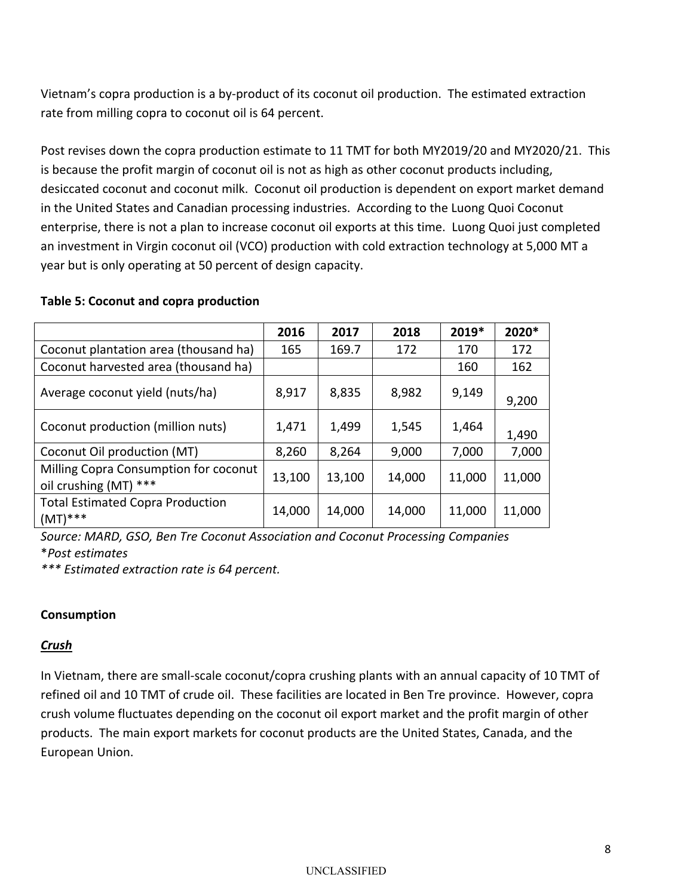Vietnam's copra production is a by-product of its coconut oil production. The estimated extraction rate from milling copra to coconut oil is 64 percent.

Post revises down the copra production estimate to 11 TMT for both MY2019/20 and MY2020/21. This is because the profit margin of coconut oil is not as high as other coconut products including, desiccated coconut and coconut milk. Coconut oil production is dependent on export market demand in the United States and Canadian processing industries. According to the Luong Quoi Coconut enterprise, there is not a plan to increase coconut oil exports at this time. Luong Quoi just completed an investment in Virgin coconut oil (VCO) production with cold extraction technology at 5,000 MT a year but is only operating at 50 percent of design capacity.

#### **Table 5: Coconut and copra production**

|                                                                | 2016   | 2017   | 2018   | 2019*  | 2020*  |
|----------------------------------------------------------------|--------|--------|--------|--------|--------|
| Coconut plantation area (thousand ha)                          | 165    | 169.7  | 172    | 170    | 172    |
| Coconut harvested area (thousand ha)                           |        |        |        | 160    | 162    |
| Average coconut yield (nuts/ha)                                | 8,917  | 8,835  | 8,982  | 9,149  | 9,200  |
| Coconut production (million nuts)                              | 1,471  | 1,499  | 1,545  | 1,464  | 1,490  |
| Coconut Oil production (MT)                                    | 8,260  | 8,264  | 9,000  | 7,000  | 7,000  |
| Milling Copra Consumption for coconut<br>oil crushing (MT) *** | 13,100 | 13,100 | 14,000 | 11,000 | 11,000 |
| <b>Total Estimated Copra Production</b><br>$(MT)$ ***          | 14,000 | 14,000 | 14,000 | 11,000 | 11,000 |

*Source: MARD, GSO, Ben Tre Coconut Association and Coconut Processing Companies* \**Post estimates*

*\*\*\* Estimated extraction rate is 64 percent.*

## **Consumption**

## *Crush*

In Vietnam, there are small-scale coconut/copra crushing plants with an annual capacity of 10 TMT of refined oil and 10 TMT of crude oil. These facilities are located in Ben Tre province. However, copra crush volume fluctuates depending on the coconut oil export market and the profit margin of other products. The main export markets for coconut products are the United States, Canada, and the European Union.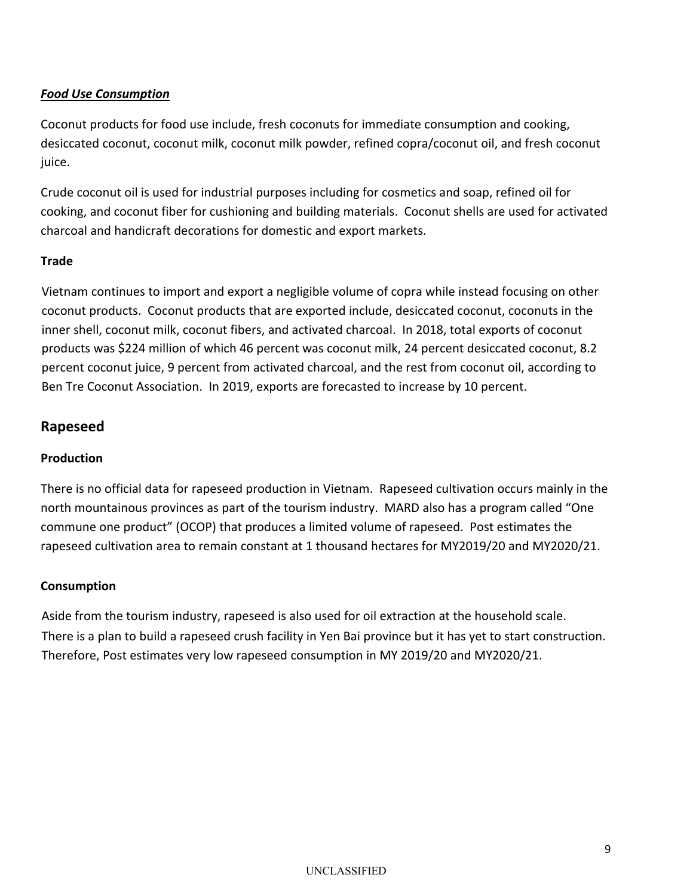## *Food Use Consumption*

Coconut products for food use include, fresh coconuts for immediate consumption and cooking, desiccated coconut, coconut milk, coconut milk powder, refined copra/coconut oil, and fresh coconut juice.

Crude coconut oil is used for industrial purposes including for cosmetics and soap, refined oil for cooking, and coconut fiber for cushioning and building materials. Coconut shells are used for activated charcoal and handicraft decorations for domestic and export markets.

#### **Trade**

Vietnam continues to import and export a negligible volume of copra while instead focusing on other coconut products. Coconut products that are exported include, desiccated coconut, coconuts in the inner shell, coconut milk, coconut fibers, and activated charcoal. In 2018, total exports of coconut products was \$224 million of which 46 percent was coconut milk, 24 percent desiccated coconut, 8.2 percent coconut juice, 9 percent from activated charcoal, and the rest from coconut oil, according to Ben Tre Coconut Association. In 2019, exports are forecasted to increase by 10 percent.

## **Rapeseed**

#### **Production**

There is no official data for rapeseed production in Vietnam. Rapeseed cultivation occurs mainly in the north mountainous provinces as part of the tourism industry. MARD also has a program called "One commune one product" (OCOP) that produces a limited volume of rapeseed. Post estimates the rapeseed cultivation area to remain constant at 1 thousand hectares for MY2019/20 and MY2020/21.

#### **Consumption**

Aside from the tourism industry, rapeseed is also used for oil extraction at the household scale. There is a plan to build a rapeseed crush facility in Yen Bai province but it has yet to start construction. Therefore, Post estimates very low rapeseed consumption in MY 2019/20 and MY2020/21.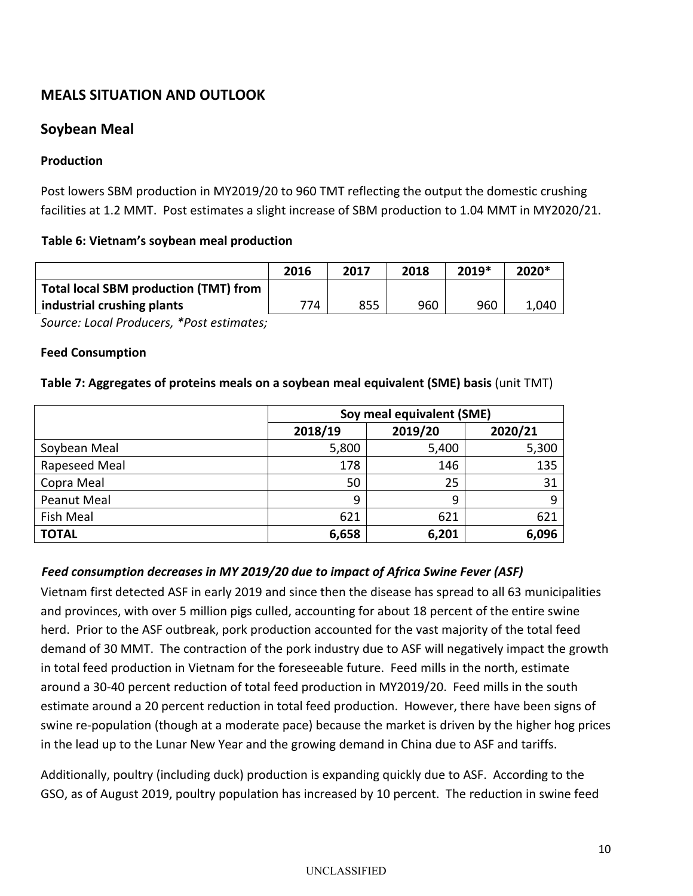# **MEALS SITUATION AND OUTLOOK**

# **Soybean Meal**

### **Production**

Post lowers SBM production in MY2019/20 to 960 TMT reflecting the output the domestic crushing facilities at 1.2 MMT. Post estimates a slight increase of SBM production to 1.04 MMT in MY2020/21.

#### **Table 6: Vietnam's soybean meal production**

|                                              | 2016 | 2017 | 2018 | 2019* | 2020* |
|----------------------------------------------|------|------|------|-------|-------|
| <b>Total local SBM production (TMT) from</b> |      |      |      |       |       |
| industrial crushing plants                   | 774  | 855  | 960  | 960   | L,040 |

*Source: Local Producers, \*Post estimates;*

#### **Feed Consumption**

#### **Table 7: Aggregates of proteins meals on a soybean meal equivalent (SME) basis** (unit TMT)

|               |         | Soy meal equivalent (SME) |         |
|---------------|---------|---------------------------|---------|
|               | 2018/19 | 2019/20                   | 2020/21 |
| Soybean Meal  | 5,800   | 5,400                     | 5,300   |
| Rapeseed Meal | 178     | 146                       | 135     |
| Copra Meal    | 50      | 25                        | 31      |
| Peanut Meal   | 9       | 9                         | 9       |
| Fish Meal     | 621     | 621                       | 621     |
| <b>TOTAL</b>  | 6,658   | 6,201                     | 6,096   |

## *Feed consumption decreases in MY 2019/20 due to impact of Africa Swine Fever (ASF)*

Vietnam first detected ASF in early 2019 and since then the disease has spread to all 63 municipalities and provinces, with over 5 million pigs culled, accounting for about 18 percent of the entire swine herd. Prior to the ASF outbreak, pork production accounted for the vast majority of the total feed demand of 30 MMT. The contraction of the pork industry due to ASF will negatively impact the growth in total feed production in Vietnam for the foreseeable future. Feed mills in the north, estimate around a 30-40 percent reduction of total feed production in MY2019/20. Feed mills in the south estimate around a 20 percent reduction in total feed production. However, there have been signs of swine re-population (though at a moderate pace) because the market is driven by the higher hog prices in the lead up to the Lunar New Year and the growing demand in China due to ASF and tariffs.

Additionally, poultry (including duck) production is expanding quickly due to ASF. According to the GSO, as of August 2019, poultry population has increased by 10 percent. The reduction in swine feed

#### UNCLASSIFIED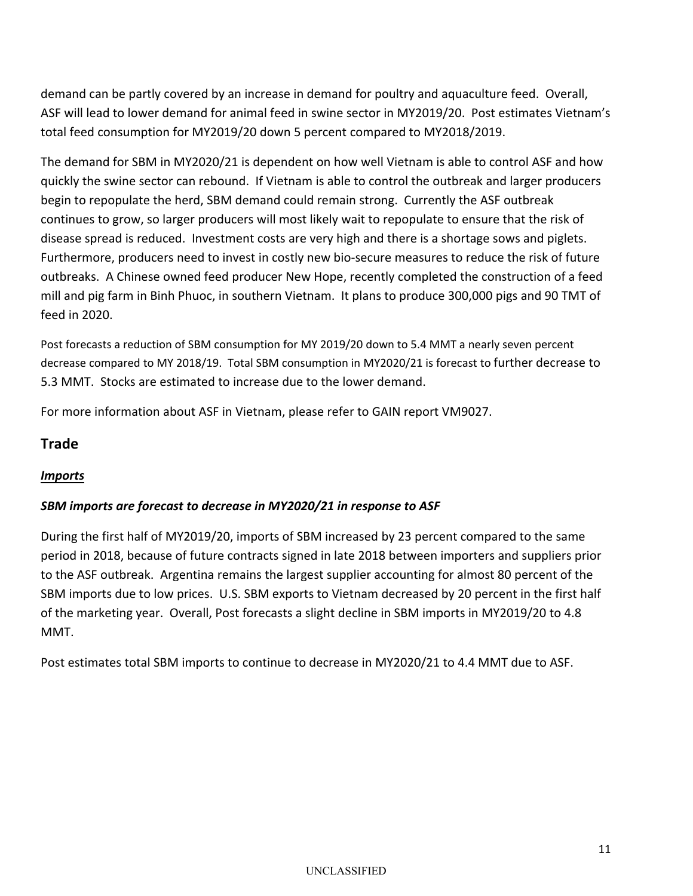demand can be partly covered by an increase in demand for poultry and aquaculture feed. Overall, ASF will lead to lower demand for animal feed in swine sector in MY2019/20. Post estimates Vietnam's total feed consumption for MY2019/20 down 5 percent compared to MY2018/2019.

The demand for SBM in MY2020/21 is dependent on how well Vietnam is able to control ASF and how quickly the swine sector can rebound. If Vietnam is able to control the outbreak and larger producers begin to repopulate the herd, SBM demand could remain strong. Currently the ASF outbreak continues to grow, so larger producers will most likely wait to repopulate to ensure that the risk of disease spread is reduced. Investment costs are very high and there is a shortage sows and piglets. Furthermore, producers need to invest in costly new bio-secure measures to reduce the risk of future outbreaks. A Chinese owned feed producer New Hope, recently completed the construction of a feed mill and pig farm in Binh Phuoc, in southern Vietnam. It plans to produce 300,000 pigs and 90 TMT of feed in 2020.

Post forecasts a reduction of SBM consumption for MY 2019/20 down to 5.4 MMT a nearly seven percent decrease compared to MY 2018/19. Total SBM consumption in MY2020/21 is forecast to further decrease to 5.3 MMT. Stocks are estimated to increase due to the lower demand.

For more information about ASF in Vietnam, please refer to GAIN report [VM9027.](https://gain.fas.usda.gov/Recent%20GAIN%20Publications/African%20Swine%20Fever%20in%20Vietnam_Hanoi_Vietnam_6-20-2019.pdf)

# **Trade**

## *Imports*

## *SBM imports are forecast to decrease in MY2020/21 in response to ASF*

During the first half of MY2019/20, imports of SBM increased by 23 percent compared to the same period in 2018, because of future contracts signed in late 2018 between importers and suppliers prior to the ASF outbreak. Argentina remains the largest supplier accounting for almost 80 percent of the SBM imports due to low prices. U.S. SBM exports to Vietnam decreased by 20 percent in the first half of the marketing year. Overall, Post forecasts a slight decline in SBM imports in MY2019/20 to 4.8 MMT.

Post estimates total SBM imports to continue to decrease in MY2020/21 to 4.4 MMT due to ASF.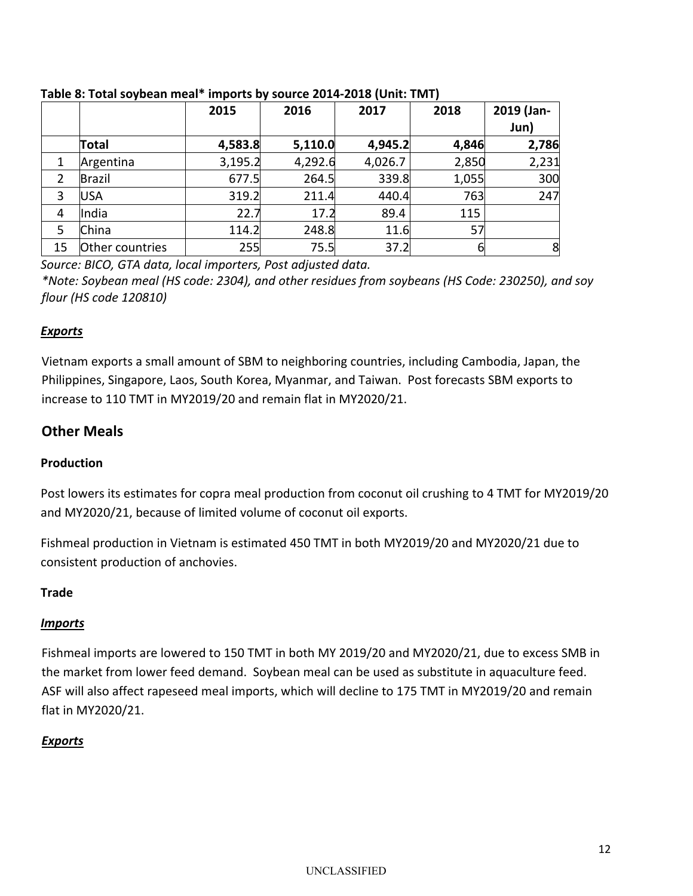|    |                 | 2015    | 2016    | 2017    | 2018  | 2019 (Jan-<br>Jun) |
|----|-----------------|---------|---------|---------|-------|--------------------|
|    | Total           | 4,583.8 | 5,110.0 | 4,945.2 | 4,846 | 2,786              |
|    | Argentina       | 3,195.2 | 4,292.6 | 4,026.7 | 2,850 | 2,231              |
|    | Brazil          | 677.5   | 264.5   | 339.8   | 1,055 | 300                |
| 3  | <b>USA</b>      | 319.2   | 211.4   | 440.4   | 763   | 247                |
| 4  | India           | 22.7    | 17.2    | 89.4    | 115   |                    |
| 5  | China           | 114.2   | 248.8   | 11.6    | 57    |                    |
| 15 | Other countries | 255     | 75.5    | 37.2    | 6     | 8                  |

**Table 8: Total soybean meal\* imports by source 2014-2018 (Unit: TMT)**

*Source: BICO, GTA data, local importers, Post adjusted data.*

*\*Note: Soybean meal (HS code: 2304), and other residues from soybeans (HS Code: 230250), and soy flour (HS code 120810)*

# *Exports*

Vietnam exports a small amount of SBM to neighboring countries, including Cambodia, Japan, the Philippines, Singapore, Laos, South Korea, Myanmar, and Taiwan. Post forecasts SBM exports to increase to 110 TMT in MY2019/20 and remain flat in MY2020/21.

# **Other Meals**

# **Production**

Post lowers its estimates for copra meal production from coconut oil crushing to 4 TMT for MY2019/20 and MY2020/21, because of limited volume of coconut oil exports.

Fishmeal production in Vietnam is estimated 450 TMT in both MY2019/20 and MY2020/21 due to consistent production of anchovies.

## **Trade**

# *Imports*

Fishmeal imports are lowered to 150 TMT in both MY 2019/20 and MY2020/21, due to excess SMB in the market from lower feed demand. Soybean meal can be used as substitute in aquaculture feed. ASF will also affect rapeseed meal imports, which will decline to 175 TMT in MY2019/20 and remain flat in MY2020/21.

# *Exports*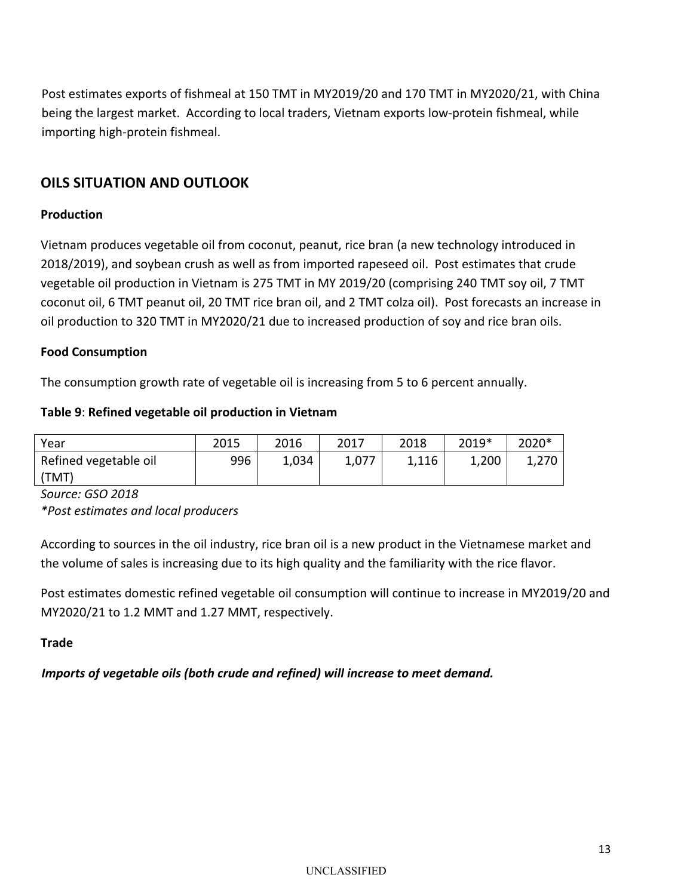Post estimates exports of fishmeal at 150 TMT in MY2019/20 and 170 TMT in MY2020/21, with China being the largest market. According to local traders, Vietnam exports low-protein fishmeal, while importing high-protein fishmeal.

# **OILS SITUATION AND OUTLOOK**

#### **Production**

Vietnam produces vegetable oil from coconut, peanut, rice bran (a new technology introduced in 2018/2019), and soybean crush as well as from imported rapeseed oil. Post estimates that crude vegetable oil production in Vietnam is 275 TMT in MY 2019/20 (comprising 240 TMT soy oil, 7 TMT coconut oil, 6 TMT peanut oil, 20 TMT rice bran oil, and 2 TMT colza oil). Post forecasts an increase in oil production to 320 TMT in MY2020/21 due to increased production of soy and rice bran oils.

#### **Food Consumption**

The consumption growth rate of vegetable oil is increasing from 5 to 6 percent annually.

#### **Table 9**: **Refined vegetable oil production in Vietnam**

| Year                  | 2015 | 2016  | 2017  | 2018  | 2019* | 2020* |
|-----------------------|------|-------|-------|-------|-------|-------|
| Refined vegetable oil | 996  | 1,034 | 1,077 | 1,116 | 1,200 | 1,270 |
| (TMT)                 |      |       |       |       |       |       |

*Source: GSO 2018*

*\*Post estimates and local producers*

According to sources in the oil industry, rice bran oil is a new product in the Vietnamese market and the volume of sales is increasing due to its high quality and the familiarity with the rice flavor.

Post estimates domestic refined vegetable oil consumption will continue to increase in MY2019/20 and MY2020/21 to 1.2 MMT and 1.27 MMT, respectively.

#### **Trade**

*Imports of vegetable oils (both crude and refined) will increase to meet demand.*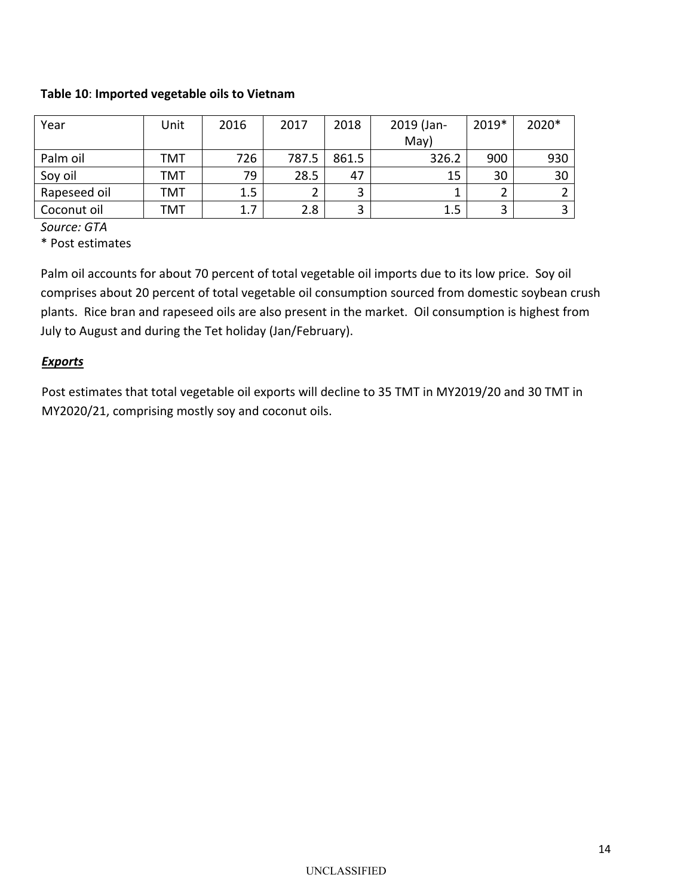#### **Table 10**: **Imported vegetable oils to Vietnam**

| Year         | Unit | 2016 | 2017  | 2018  | 2019 (Jan- | 2019* | 2020*         |
|--------------|------|------|-------|-------|------------|-------|---------------|
|              |      |      |       |       | May)       |       |               |
| Palm oil     | TMT  | 726  | 787.5 | 861.5 | 326.2      | 900   | 930           |
| Soy oil      | TMT  | 79   | 28.5  | 47    | 15         | 30    | 30            |
| Rapeseed oil | TMT  | 1.5  |       | ◠     |            |       | $\mathcal{D}$ |
| Coconut oil  | TMT  | 1.7  | 2.8   |       | 1.5        |       | 3             |

*Source: GTA*

\* Post estimates

Palm oil accounts for about 70 percent of total vegetable oil imports due to its low price. Soy oil comprises about 20 percent of total vegetable oil consumption sourced from domestic soybean crush plants. Rice bran and rapeseed oils are also present in the market. Oil consumption is highest from July to August and during the Tet holiday (Jan/February).

#### *Exports*

Post estimates that total vegetable oil exports will decline to 35 TMT in MY2019/20 and 30 TMT in MY2020/21, comprising mostly soy and coconut oils.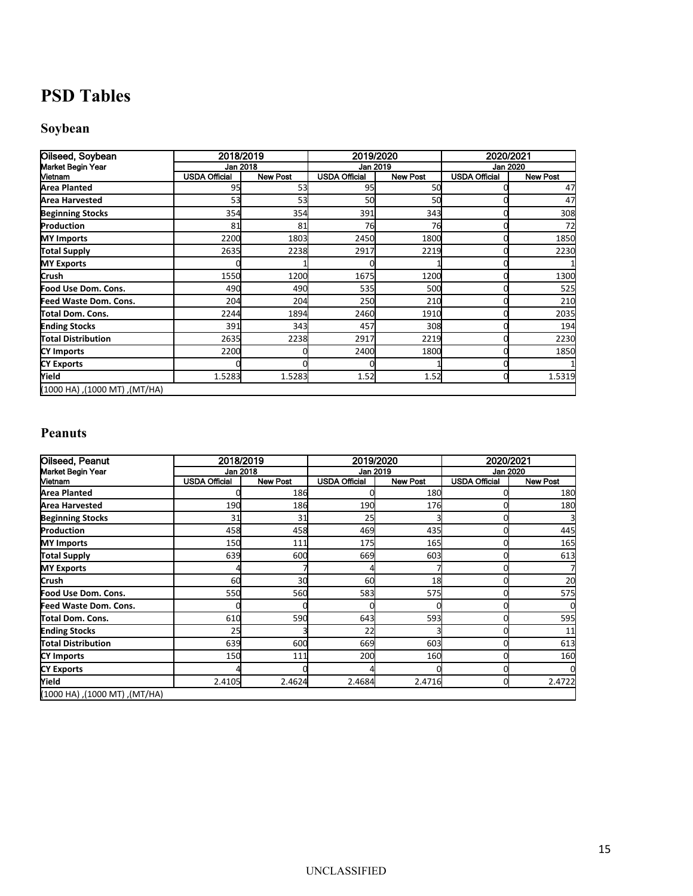# **PSD Tables**

# **Soybean**

| Oilseed, Soybean                | 2018/2019            |                 | 2019/2020            |                 | 2020/2021            |                 |
|---------------------------------|----------------------|-----------------|----------------------|-----------------|----------------------|-----------------|
| Market Begin Year               | Jan 2018             |                 | Jan 2019             |                 |                      | Jan 2020        |
| Vietnam                         | <b>USDA Official</b> | <b>New Post</b> | <b>USDA Official</b> | <b>New Post</b> | <b>USDA Official</b> | <b>New Post</b> |
| <b>Area Planted</b>             | 95                   | 53              | 95                   | 50              |                      | 47              |
| <b>Area Harvested</b>           | 53                   | 53              | 50                   | 50              |                      | 47              |
| <b>Beginning Stocks</b>         | 354                  | 354             | 391                  | 343             |                      | 308             |
| Production                      | 81                   | 81              | 76                   | 76              |                      | 72              |
| <b>MY Imports</b>               | 2200                 | 1803            | 2450                 | 1800            |                      | 1850            |
| <b>Total Supply</b>             | 2635                 | 2238            | 2917                 | 2219            |                      | 2230            |
| <b>MY Exports</b>               |                      |                 |                      |                 |                      |                 |
| Crush                           | 1550                 | 1200            | 1675                 | 1200            |                      | 1300            |
| Food Use Dom. Cons.             | 490                  | 490             | 535                  | 500             |                      | 525             |
| Feed Waste Dom. Cons.           | 204                  | 204             | 250                  | 210             |                      | 210             |
| Total Dom. Cons.                | 2244                 | 1894            | 2460                 | 1910            |                      | 2035            |
| <b>Ending Stocks</b>            | 391                  | 343             | 457                  | 308             |                      | 194             |
| Total Distribution              | 2635                 | 2238            | 2917                 | 2219            |                      | 2230            |
| <b>CY Imports</b>               | 2200                 |                 | 2400                 | 1800            |                      | 1850            |
| <b>CY Exports</b>               |                      |                 |                      |                 |                      |                 |
| Yield                           | 1.5283               | 1.5283          | 1.52                 | 1.52            |                      | 1.5319          |
| (MT/HA), (TM 000 hA), (1000 hA) |                      |                 |                      |                 |                      |                 |

# **Peanuts**

| <b>Oilseed, Peanut</b>           | 2018/2019            |                 | 2019/2020            |                 | 2020/2021            |                 |
|----------------------------------|----------------------|-----------------|----------------------|-----------------|----------------------|-----------------|
| Market Begin Year                | Jan 2018             |                 | Jan 2019             |                 |                      | Jan 2020        |
| Vietnam                          | <b>USDA Official</b> | <b>New Post</b> | <b>USDA Official</b> | <b>New Post</b> | <b>USDA Official</b> | <b>New Post</b> |
| <b>Area Planted</b>              |                      | 186             |                      | 180             |                      | 180             |
| <b>Area Harvested</b>            | 190                  | 186             | 190                  | 176             |                      | 180             |
| <b>Beginning Stocks</b>          | 31                   | 31              | 25                   |                 |                      |                 |
| Production                       | 458                  | 458             | 469                  | 435             |                      | 445             |
| <b>MY Imports</b>                | 150                  | 111             | <b>175</b>           | <b>165</b>      |                      | 165             |
| Total Supply                     | 639                  | 600             | 669                  | 603             |                      | 613             |
| <b>MY Exports</b>                |                      |                 |                      |                 |                      |                 |
| Crush                            | 60                   | 30              | 60                   | 18              |                      | 20              |
| Food Use Dom. Cons.              | 550                  | 560             | 583                  | 575             |                      | 575             |
| Feed Waste Dom. Cons.            |                      |                 |                      |                 |                      |                 |
| lTotal Dom. Cons.                | 610                  | 590             | 643                  | 593             |                      | 595             |
| <b>Ending Stocks</b>             | 25                   |                 | 22                   |                 |                      | 11              |
| Total Distribution               | 639                  | 600             | 669                  | 603             |                      | 613             |
| <b>CY Imports</b>                | 150                  | 111             | 200                  | 160             |                      | 160             |
| <b>CY Exports</b>                |                      |                 |                      |                 |                      |                 |
| Yield                            | 2.4105               | 2.4624          | 2.4684               | 2.4716          |                      | 2.4722          |
| (MT/HA), (TM 000 t), (AH 000 hA) |                      |                 |                      |                 |                      |                 |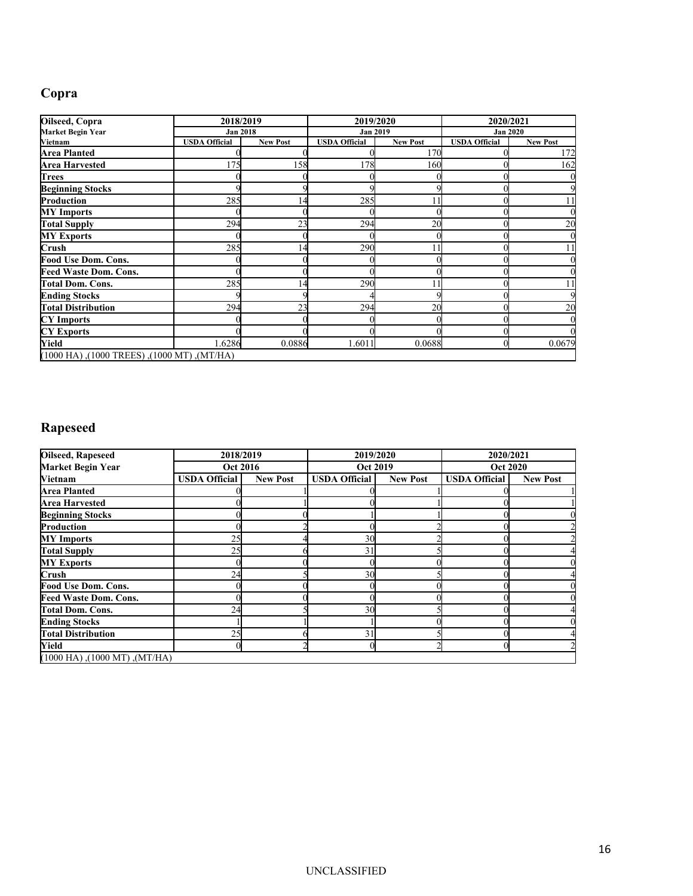# **Copra**

| Oilseed, Copra                              | 2018/2019            |                 | 2019/2020            |                 | 2020/2021            |                 |
|---------------------------------------------|----------------------|-----------------|----------------------|-----------------|----------------------|-----------------|
| Market Begin Year                           | <b>Jan 2018</b>      |                 | <b>Jan 2019</b>      |                 | <b>Jan 2020</b>      |                 |
| Vietnam                                     | <b>USDA Official</b> | <b>New Post</b> | <b>USDA Official</b> | <b>New Post</b> | <b>USDA Official</b> | <b>New Post</b> |
| <b>Area Planted</b>                         |                      |                 |                      | 170             |                      | 172             |
| <b>Area Harvested</b>                       | 175                  | 158             | 178                  | 160             |                      | 162             |
| Trees                                       |                      |                 |                      |                 |                      |                 |
| <b>Beginning Stocks</b>                     |                      |                 |                      |                 |                      |                 |
| <b>Production</b>                           | 285                  | 14              | 285                  |                 |                      |                 |
| <b>MY</b> Imports                           |                      |                 |                      |                 |                      |                 |
| <b>Total Supply</b>                         | 294                  | 23              | 294                  | 20              |                      | 20              |
| <b>MY Exports</b>                           |                      |                 |                      |                 |                      |                 |
| Crush                                       | 285                  | 14              | 290                  |                 |                      | 11              |
| Food Use Dom. Cons.                         |                      |                 |                      |                 |                      |                 |
| <b>Feed Waste Dom. Cons.</b>                |                      |                 |                      |                 |                      |                 |
| <b>Total Dom. Cons.</b>                     | 285                  | 14              | 290                  |                 |                      |                 |
| <b>Ending Stocks</b>                        |                      |                 |                      |                 |                      |                 |
| <b>Total Distribution</b>                   | 294                  | 23              | 294                  | 20              |                      | 20              |
| <b>CY</b> Imports                           |                      |                 |                      |                 |                      |                 |
| <b>CY Exports</b>                           |                      |                 |                      |                 |                      |                 |
| Yield                                       | 1.6286               | 0.0886          | 1.6011               | 0.0688          |                      | 0.0679          |
| (MT/HA), (1000 TREES), (1000 MT), (1000 HA) |                      |                 |                      |                 |                      |                 |

# **Rapeseed**

| Oilseed, Rapeseed                   | 2018/2019            |                 | 2019/2020            |                 | 2020/2021            |                 |
|-------------------------------------|----------------------|-----------------|----------------------|-----------------|----------------------|-----------------|
| <b>Market Begin Year</b>            | <b>Oct 2016</b>      |                 | <b>Oct 2019</b>      |                 | <b>Oct 2020</b>      |                 |
| Vietnam                             | <b>USDA Official</b> | <b>New Post</b> | <b>USDA Official</b> | <b>New Post</b> | <b>USDA Official</b> | <b>New Post</b> |
| <b>Area Planted</b>                 |                      |                 |                      |                 |                      |                 |
| <b>Area Harvested</b>               |                      |                 |                      |                 |                      |                 |
| <b>Beginning Stocks</b>             |                      |                 |                      |                 |                      |                 |
| Production                          |                      |                 |                      |                 |                      |                 |
| <b>MY</b> Imports                   | 25                   |                 | 30                   |                 |                      |                 |
| <b>Total Supply</b>                 | 25                   |                 | 31                   |                 |                      |                 |
| <b>MY Exports</b>                   |                      |                 |                      |                 |                      |                 |
| Crush                               | 24                   |                 | 30                   |                 |                      |                 |
| Food Use Dom. Cons.                 |                      |                 |                      |                 |                      |                 |
| <b>Feed Waste Dom. Cons.</b>        |                      |                 |                      |                 |                      |                 |
| <b>Total Dom. Cons.</b>             | 24                   |                 | 30                   |                 |                      |                 |
| <b>Ending Stocks</b>                |                      |                 |                      |                 |                      |                 |
| <b>Total Distribution</b>           | 25                   |                 | 31                   |                 |                      |                 |
| Yield                               |                      |                 |                      |                 |                      |                 |
| $(1000$ HA), $(1000$ MT), $(MT/HA)$ |                      |                 |                      |                 |                      |                 |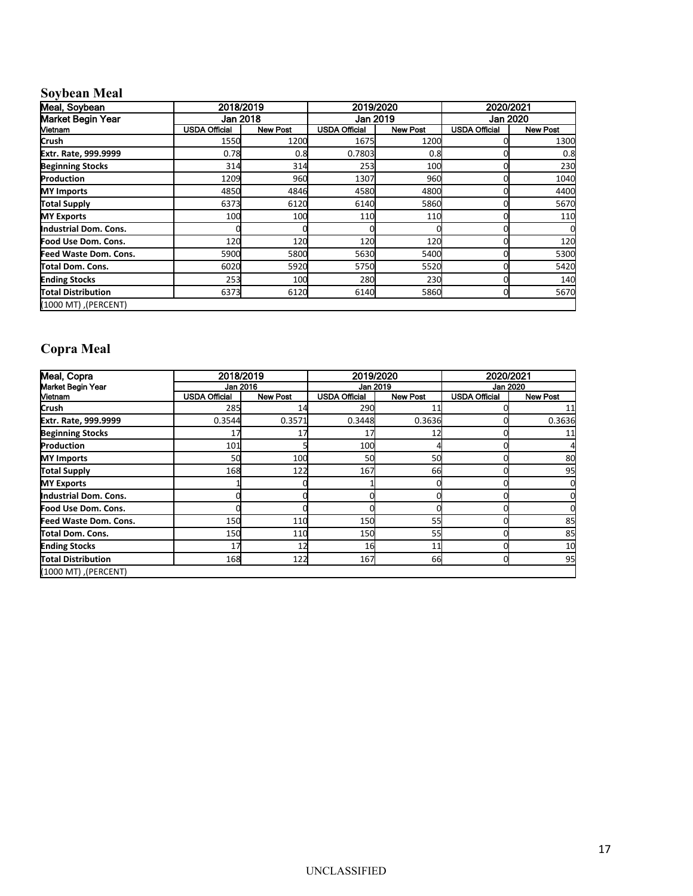# **Soybean Meal**

| Meal, Soybean             | 2018/2019            |                 | 2019/2020            |                 | 2020/2021            |                 |
|---------------------------|----------------------|-----------------|----------------------|-----------------|----------------------|-----------------|
| Market Begin Year         |                      | Jan 2018        |                      | Jan 2019        | Jan 2020             |                 |
| Vietnam                   | <b>USDA Official</b> | <b>New Post</b> | <b>USDA Official</b> | <b>New Post</b> | <b>USDA Official</b> | <b>New Post</b> |
| Crush                     | 1550                 | 1200            | 1675                 | 1200            |                      | 1300            |
| Extr. Rate, 999.9999      | 0.78                 | 0.8             | 0.7803               | 0.8             |                      | 0.8             |
| <b>Beginning Stocks</b>   | 314                  | 314             | 253                  | 100             |                      | 230             |
| Production                | 1209                 | 960             | 1307                 | 960             |                      | 1040            |
| <b>MY Imports</b>         | 4850                 | 4846            | 4580                 | 4800            |                      | 4400            |
| <b>Total Supply</b>       | 6373                 | 6120            | 6140                 | 5860            |                      | 5670            |
| <b>MY Exports</b>         | 100                  | 100             | 110                  | 110             |                      | 110             |
| Industrial Dom. Cons.     |                      |                 |                      |                 |                      |                 |
| Food Use Dom. Cons.       | 120                  | 120             | 120                  | 120             |                      | 120             |
| Feed Waste Dom. Cons.     | 5900                 | 5800            | 5630                 | 5400            |                      | 5300            |
| Total Dom. Cons.          | 6020                 | 5920            | 5750                 | 5520            |                      | 5420            |
| <b>Ending Stocks</b>      | 253                  | 100             | 280                  | 230             |                      | 140             |
| <b>Total Distribution</b> | 6373                 | 6120            | 6140                 | 5860            |                      | 5670            |
| (PERCENT), (1000 MT)      |                      |                 |                      |                 |                      |                 |

# **Copra Meal**

| Meal, Copra             | 2018/2019            |                 | 2019/2020            |                 | 2020/2021            |                 |
|-------------------------|----------------------|-----------------|----------------------|-----------------|----------------------|-----------------|
| Market Begin Year       |                      | Jan 2016        |                      | Jan 2019        |                      | Jan 2020        |
| Vietnam                 | <b>USDA Official</b> | <b>New Post</b> | <b>USDA Official</b> | <b>New Post</b> | <b>USDA Official</b> | <b>New Post</b> |
| <b>Crush</b>            | 285                  | 14              | 290                  |                 |                      |                 |
| Extr. Rate, 999.9999    | 0.3544               | 0.3571          | 0.3448               | 0.3636          |                      | 0.3636          |
| <b>Beginning Stocks</b> | 17                   | 17              |                      | 12              |                      | 11              |
| Production              | 101                  |                 | 100                  |                 |                      |                 |
| <b>MY Imports</b>       | 50                   | 100             | 50                   | 50              |                      | 80              |
| Total Supply            | 168                  | 122             | 167                  | 66              |                      | 95              |
| <b>MY Exports</b>       |                      |                 |                      |                 |                      |                 |
| Industrial Dom. Cons.   |                      |                 |                      |                 |                      |                 |
| Food Use Dom. Cons.     |                      |                 |                      |                 |                      |                 |
| Feed Waste Dom. Cons.   | 150                  | 110             | 150                  | 55              |                      | 85              |
| Total Dom. Cons.        | 150                  | 110             | 150                  | 55              |                      | 85              |
| <b>Ending Stocks</b>    | 17                   | 12              | 16                   | 11              |                      | 10              |
| Total Distribution      | 168                  | 122             | 167                  | 66              |                      | 95              |
| (PERCENT), (1000 MT)    |                      |                 |                      |                 |                      |                 |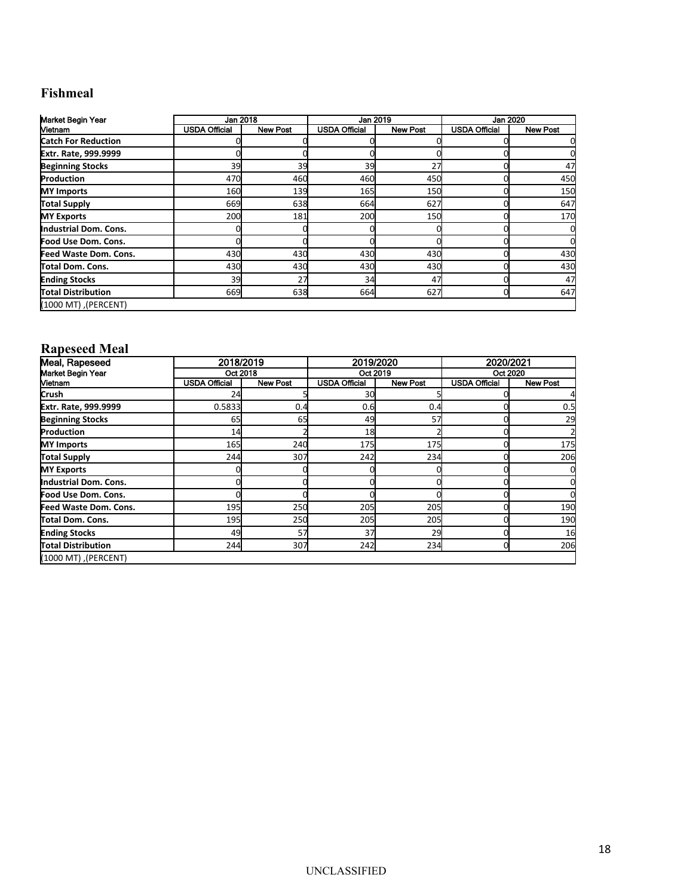# **Fishmeal**

| Market Begin Year            | Jan 2018             |                 | Jan 2019             |                 |                      | Jan 2020        |
|------------------------------|----------------------|-----------------|----------------------|-----------------|----------------------|-----------------|
| Mietnam                      | <b>USDA Official</b> | <b>New Post</b> | <b>USDA Official</b> | <b>New Post</b> | <b>USDA Official</b> | <b>New Post</b> |
| <b>Catch For Reduction</b>   |                      |                 |                      |                 |                      |                 |
| Extr. Rate, 999.9999         |                      |                 |                      |                 |                      |                 |
| <b>Beginning Stocks</b>      | 39                   | 39              | 39                   | 27              |                      | 47              |
| Production                   | 470                  | 460             | 460                  | 450             |                      | 450             |
| <b>MY Imports</b>            | 160                  | 139             | 165                  | <b>150</b>      |                      | 150             |
| Total Supply                 | 669                  | 638             | 664                  | 627             |                      | 647             |
| <b>MY Exports</b>            | 200                  | 181             | 200                  | <b>150</b>      |                      | 170             |
| Industrial Dom. Cons.        |                      |                 |                      |                 |                      | 0               |
| Food Use Dom. Cons.          |                      |                 |                      |                 |                      |                 |
| <b>Feed Waste Dom. Cons.</b> | 430                  | 430             | 430                  | 430             |                      | 430             |
| Total Dom. Cons.             | 430                  | 430             | 430                  | 430             |                      | 430             |
| <b>Ending Stocks</b>         | 39                   | 27              | 34                   | 47              |                      | 47              |
| Total Distribution           | 669                  | 638             | 664                  | 627             |                      | 647             |
| (PERCENT), (1000 MT)         |                      |                 |                      |                 |                      |                 |

#### **Rapeseed Meal**

| Meal, Rapeseed            | 2018/2019            |                 | 2019/2020            |                 | 2020/2021            |                 |
|---------------------------|----------------------|-----------------|----------------------|-----------------|----------------------|-----------------|
| Market Begin Year         |                      | Oct 2018        |                      | Oct 2019        |                      | Oct 2020        |
| Vietnam                   | <b>USDA Official</b> | <b>New Post</b> | <b>USDA Official</b> | <b>New Post</b> | <b>USDA Official</b> | <b>New Post</b> |
| <b>Crush</b>              | 24                   |                 | 30                   |                 |                      |                 |
| Extr. Rate, 999.9999      | 0.5833               | 0.4             | 0.6                  | 0.4             |                      | 0.5             |
| <b>Beginning Stocks</b>   | 65                   | 65              | 49                   | 57              |                      | 29              |
| Production                | 14                   |                 | 18                   |                 |                      |                 |
| <b>MY Imports</b>         | <b>165</b>           | 240             | 175                  | <b>175</b>      |                      | 175             |
| Total Supply              | 244                  | 307             | 242                  | 234             |                      | 206             |
| <b>MY Exports</b>         |                      |                 |                      |                 |                      |                 |
| Industrial Dom. Cons.     |                      |                 |                      |                 |                      |                 |
| Food Use Dom. Cons.       |                      |                 |                      |                 |                      |                 |
| Feed Waste Dom. Cons.     | <b>195</b>           | 250             | 205                  | <b>205</b>      |                      | 190             |
| Total Dom. Cons.          | <b>195</b>           | 250             | 205                  | 205             |                      | 190             |
| <b>Ending Stocks</b>      | 49                   | 57              | 37                   | 29              |                      | 16              |
| <b>Total Distribution</b> | 244                  | 307             | 242                  | 234             |                      | 206             |
| (PERCENT), (1000 MT)      |                      |                 |                      |                 |                      |                 |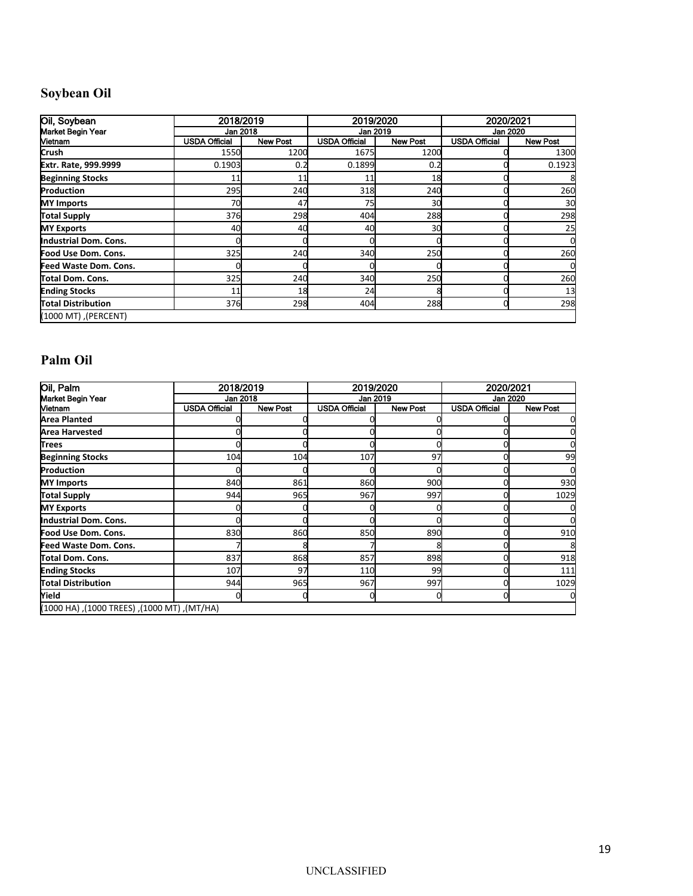# **Soybean Oil**

| Oil, Soybean             | 2018/2019            |                 | 2019/2020            |                 | 2020/2021            |                 |
|--------------------------|----------------------|-----------------|----------------------|-----------------|----------------------|-----------------|
| <b>Market Begin Year</b> | Jan 2018             |                 |                      | Jan 2019        |                      | Jan 2020        |
| Vietnam                  | <b>USDA Official</b> | <b>New Post</b> | <b>USDA Official</b> | <b>New Post</b> | <b>USDA Official</b> | <b>New Post</b> |
| <b>Crush</b>             | 1550                 | 1200            | 1675                 | 1200            |                      | 1300            |
| Extr. Rate, 999.9999     | 0.1903               | 0.2             | 0.1899               | 0.2             |                      | 0.1923          |
| <b>Beginning Stocks</b>  | 11                   | 11              | 11                   | 18              |                      |                 |
| Production               | 295                  | 240             | 318                  | 240             |                      | 260             |
| <b>MY</b> Imports        | 70                   | 47              | 75                   | 30              |                      | 30              |
| <b>Total Supply</b>      | 376                  | 298             | 404                  | 288             |                      | 298             |
| <b>MY Exports</b>        | 40                   | 40              | 40                   | 30              |                      | 25              |
| Industrial Dom. Cons.    |                      |                 |                      |                 |                      | 0               |
| Food Use Dom. Cons.      | 325                  | 240             | 340                  | 250             |                      | 260             |
| Feed Waste Dom. Cons.    |                      |                 |                      |                 |                      |                 |
| Total Dom. Cons.         | 325                  | 240             | 340                  | 250             |                      | 260             |
| <b>Ending Stocks</b>     | 11                   | 18              | 24                   |                 |                      | 13              |
| Total Distribution       | 376                  | 298             | 404                  | 288             |                      | 298             |
| (PERCENT), (1000 MT)     |                      |                 |                      |                 |                      |                 |

# **Palm Oil**

| Oil, Palm                                   | 2018/2019            |                 | 2019/2020            |                 | 2020/2021            |                 |
|---------------------------------------------|----------------------|-----------------|----------------------|-----------------|----------------------|-----------------|
| Market Begin Year                           | Jan 2018             |                 | Jan 2019             |                 | Jan 2020             |                 |
| Vietnam                                     | <b>USDA Official</b> | <b>New Post</b> | <b>USDA Official</b> | <b>New Post</b> | <b>USDA Official</b> | <b>New Post</b> |
| Area Planted                                |                      |                 |                      |                 |                      |                 |
| <b>Area Harvested</b>                       |                      |                 |                      |                 |                      |                 |
| Trees                                       |                      |                 |                      |                 |                      |                 |
| <b>Beginning Stocks</b>                     | 104                  | 104             | 107                  | 97              |                      | 99              |
| Production                                  |                      |                 |                      |                 |                      | U               |
| <b>MY Imports</b>                           | 840                  | 861             | 860                  | 900             |                      | 930             |
| Total Supply                                | 944                  | 965             | 967                  | 997             |                      | 1029            |
| <b>MY Exports</b>                           |                      |                 |                      |                 |                      |                 |
| Industrial Dom. Cons.                       |                      |                 |                      |                 |                      |                 |
| Food Use Dom. Cons.                         | 830                  | 860             | 850                  | 890             |                      | 910             |
| Feed Waste Dom. Cons.                       |                      |                 |                      |                 |                      | 8               |
| Total Dom. Cons.                            | 837                  | 868             | 857                  | 898             |                      | 918             |
| <b>Ending Stocks</b>                        | 107                  | 97              | 110                  | 99              |                      | 111             |
| Total Distribution                          | 944                  | 965             | 967                  | 997             |                      | 1029            |
| Yield                                       |                      |                 |                      |                 |                      |                 |
| (MT/HA), (1000 TREES), (1000 MT), (1000 HA) |                      |                 |                      |                 |                      |                 |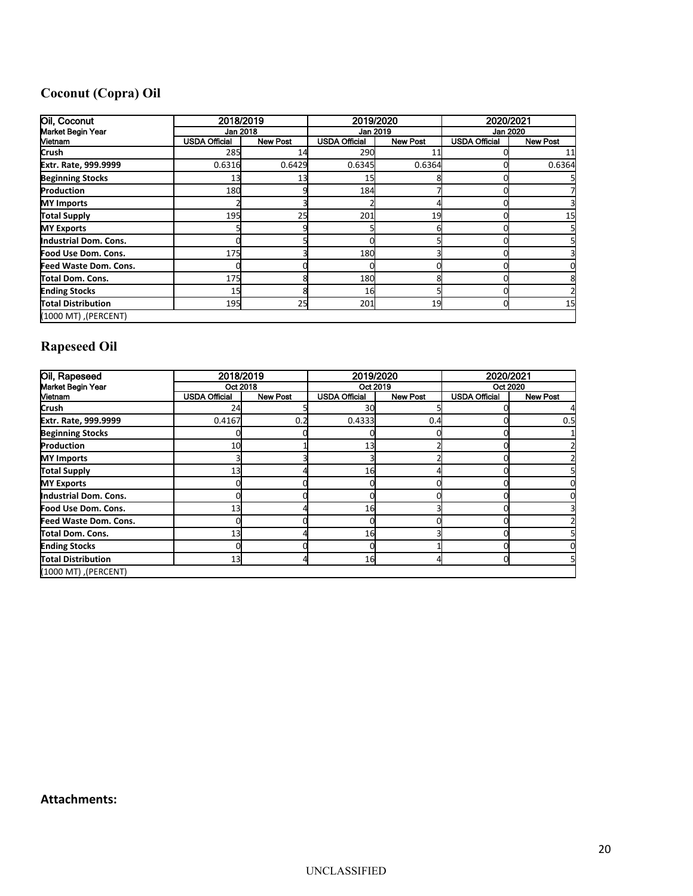# **Coconut (Copra) Oil**

| Oil, Coconut              |                      | 2018/2019       |                      | 2019/2020       |                      | 2020/2021       |  |
|---------------------------|----------------------|-----------------|----------------------|-----------------|----------------------|-----------------|--|
| Market Begin Year         |                      | Jan 2018        |                      | Jan 2019        | Jan 2020             |                 |  |
| <b>Vietnam</b>            | <b>USDA Official</b> | <b>New Post</b> | <b>USDA Official</b> | <b>New Post</b> | <b>USDA Official</b> | <b>New Post</b> |  |
| Crush                     | 285                  | 14              | 290                  | 11              |                      | 11              |  |
| Extr. Rate, 999.9999      | 0.6316               | 0.6429          | 0.6345               | 0.6364          |                      | 0.6364          |  |
| <b>Beginning Stocks</b>   | 13                   | 13              | 15                   |                 |                      |                 |  |
| Production                | 180                  |                 | 184                  |                 |                      |                 |  |
| <b>MY Imports</b>         |                      |                 |                      |                 |                      |                 |  |
| <b>Total Supply</b>       | <b>195</b>           | 25              | 201                  | 19              |                      | 15              |  |
| <b>MY Exports</b>         |                      |                 |                      |                 |                      |                 |  |
| Industrial Dom. Cons.     |                      |                 |                      |                 |                      |                 |  |
| Food Use Dom. Cons.       | <b>175</b>           |                 | 180                  |                 |                      |                 |  |
| Feed Waste Dom. Cons.     |                      |                 |                      |                 |                      |                 |  |
| Total Dom. Cons.          | <b>175</b>           |                 | 180                  |                 |                      |                 |  |
| <b>Ending Stocks</b>      | 15                   |                 | 16                   |                 |                      |                 |  |
| <b>Total Distribution</b> | 195                  | 25              | 201                  | 19              |                      | 15              |  |
| (PERCENT), (1000 MT)      |                      |                 |                      |                 |                      |                 |  |

# **Rapeseed Oil**

| Oil, Rapeseed             |                      | 2018/2019       |                      | 2019/2020       |                      | 2020/2021       |  |
|---------------------------|----------------------|-----------------|----------------------|-----------------|----------------------|-----------------|--|
| Market Begin Year         | Oct 2018             |                 | Oct 2019             |                 | Oct 2020             |                 |  |
| Vietnam                   | <b>USDA Official</b> | <b>New Post</b> | <b>USDA Official</b> | <b>New Post</b> | <b>USDA Official</b> | <b>New Post</b> |  |
| <b>Crush</b>              | 24                   |                 | 30                   |                 |                      |                 |  |
| Extr. Rate, 999.9999      | 0.4167               | 0.2             | 0.4333               | 0.4             |                      | 0.5             |  |
| <b>Beginning Stocks</b>   |                      |                 |                      |                 |                      |                 |  |
| Production                | 10                   |                 | 13                   |                 |                      |                 |  |
| <b>MY Imports</b>         |                      |                 |                      |                 |                      |                 |  |
| <b>Total Supply</b>       | 13                   |                 | 16                   |                 |                      |                 |  |
| <b>MY Exports</b>         |                      |                 |                      |                 |                      |                 |  |
| Industrial Dom. Cons.     |                      |                 |                      |                 |                      |                 |  |
| Food Use Dom. Cons.       | 13                   |                 | 16                   |                 |                      |                 |  |
| Feed Waste Dom. Cons.     |                      |                 |                      |                 |                      |                 |  |
| Total Dom. Cons.          | 13                   |                 | 16                   |                 |                      |                 |  |
| <b>Ending Stocks</b>      |                      |                 |                      |                 |                      |                 |  |
| <b>Total Distribution</b> | 13                   |                 | 16                   |                 |                      |                 |  |
| (PERCENT), (1000 MT)      |                      |                 |                      |                 |                      |                 |  |

## **Attachments:**